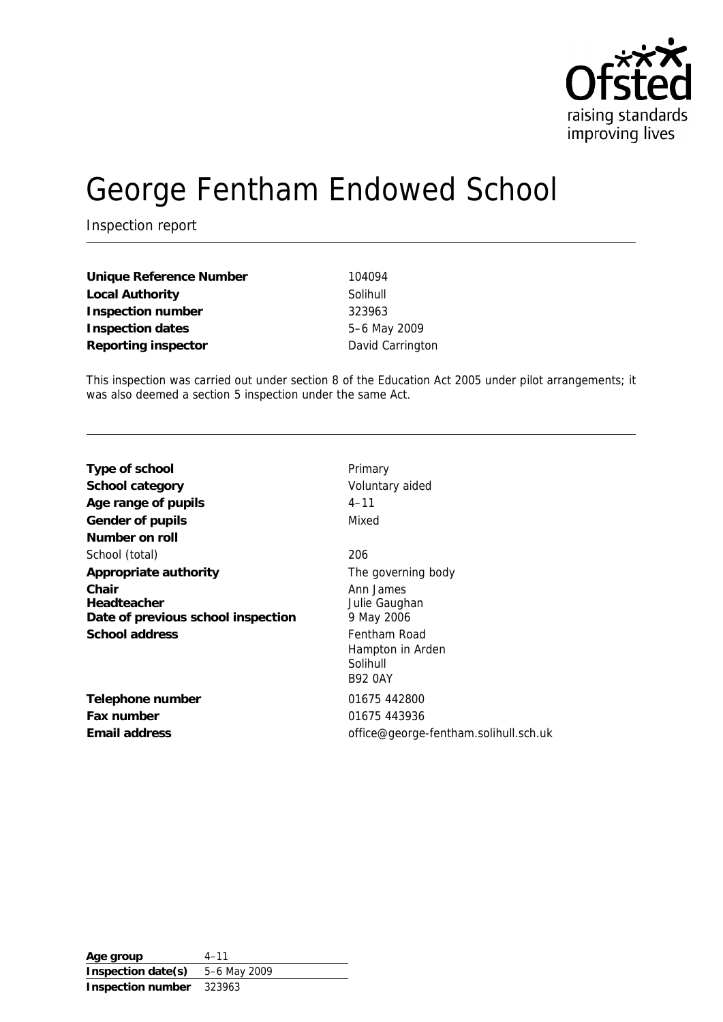

# George Fentham Endowed School

Inspection report

| Unique Reference Number | 104094   |
|-------------------------|----------|
| Local Authority         | Solihull |
| Inspection number       | 323963   |
| Inspection dates        | $5-6$ Ma |
| Reporting inspector     | David C  |

**Inspection dates** 5–6 May 2009 **Reporting inspects** 

This inspection was carried out under section 8 of the Education Act 2005 under pilot arrangements; it was also deemed a section 5 inspection under the same Act.

| Type of school                                                               | Primary                                                                                                    |
|------------------------------------------------------------------------------|------------------------------------------------------------------------------------------------------------|
| School category                                                              | Voluntary aided                                                                                            |
| Age range of pupils                                                          | $4 - 11$                                                                                                   |
| Gender of pupils                                                             | Mixed                                                                                                      |
| Number on roll                                                               |                                                                                                            |
| School (total)                                                               | 206                                                                                                        |
| Appropriate authority                                                        | The governing body                                                                                         |
| Chair<br>Headteacher<br>Date of previous school inspection<br>School address | Ann James<br>Julie Gaughan<br>9 May 2006<br>Fentham Road<br>Hampton in Arden<br>Solihull<br><b>B92 0AY</b> |
| Telephone number                                                             | 01675 442800                                                                                               |
| Fax number                                                                   | 01675 443936                                                                                               |
| Email address                                                                | office@george-fentham.solihull.sch.uk                                                                      |

**Age group** 4–11 **Inspection date(s)** 5–6 May 2009 **Inspection number** 323963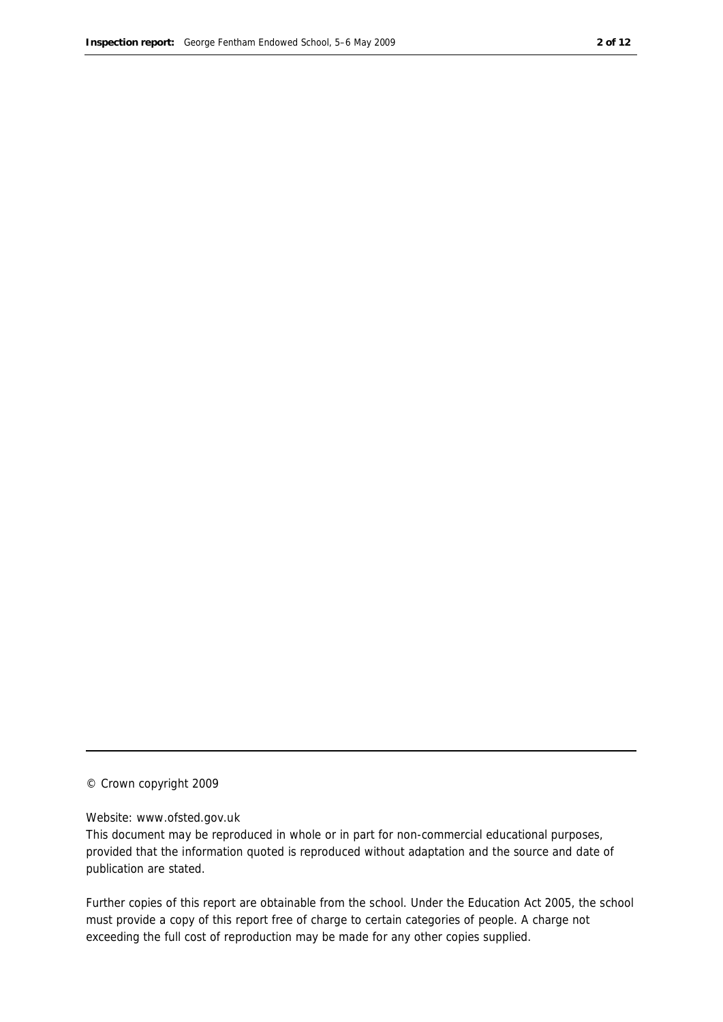#### © Crown copyright 2009

#### Website: www.ofsted.gov.uk

This document may be reproduced in whole or in part for non-commercial educational purposes, provided that the information quoted is reproduced without adaptation and the source and date of publication are stated.

Further copies of this report are obtainable from the school. Under the Education Act 2005, the school must provide a copy of this report free of charge to certain categories of people. A charge not exceeding the full cost of reproduction may be made for any other copies supplied.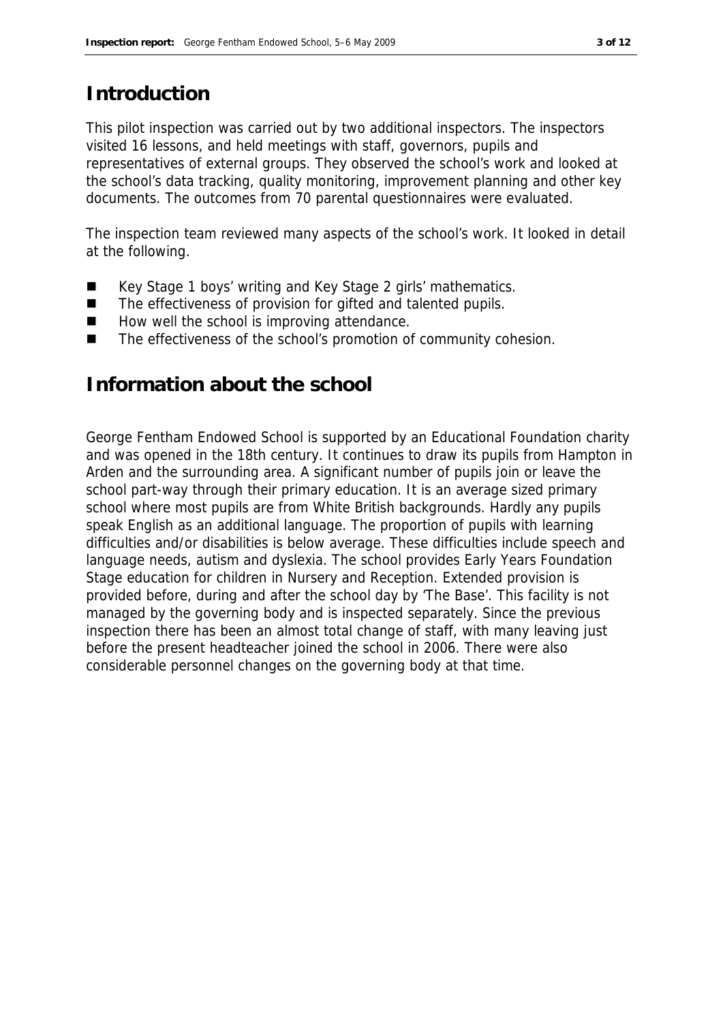#### **Introduction**

This pilot inspection was carried out by two additional inspectors. The inspectors visited 16 lessons, and held meetings with staff, governors, pupils and representatives of external groups. They observed the school's work and looked at the school's data tracking, quality monitoring, improvement planning and other key documents. The outcomes from 70 parental questionnaires were evaluated.

The inspection team reviewed many aspects of the school's work. It looked in detail at the following.

- Key Stage 1 boys' writing and Key Stage 2 girls' mathematics.
- The effectiveness of provision for gifted and talented pupils.
- How well the school is improving attendance.
- The effectiveness of the school's promotion of community cohesion.

#### **Information about the school**

George Fentham Endowed School is supported by an Educational Foundation charity and was opened in the 18th century. It continues to draw its pupils from Hampton in Arden and the surrounding area. A significant number of pupils join or leave the school part-way through their primary education. It is an average sized primary school where most pupils are from White British backgrounds. Hardly any pupils speak English as an additional language. The proportion of pupils with learning difficulties and/or disabilities is below average. These difficulties include speech and language needs, autism and dyslexia. The school provides Early Years Foundation Stage education for children in Nursery and Reception. Extended provision is provided before, during and after the school day by 'The Base'. This facility is not managed by the governing body and is inspected separately. Since the previous inspection there has been an almost total change of staff, with many leaving just before the present headteacher joined the school in 2006. There were also considerable personnel changes on the governing body at that time.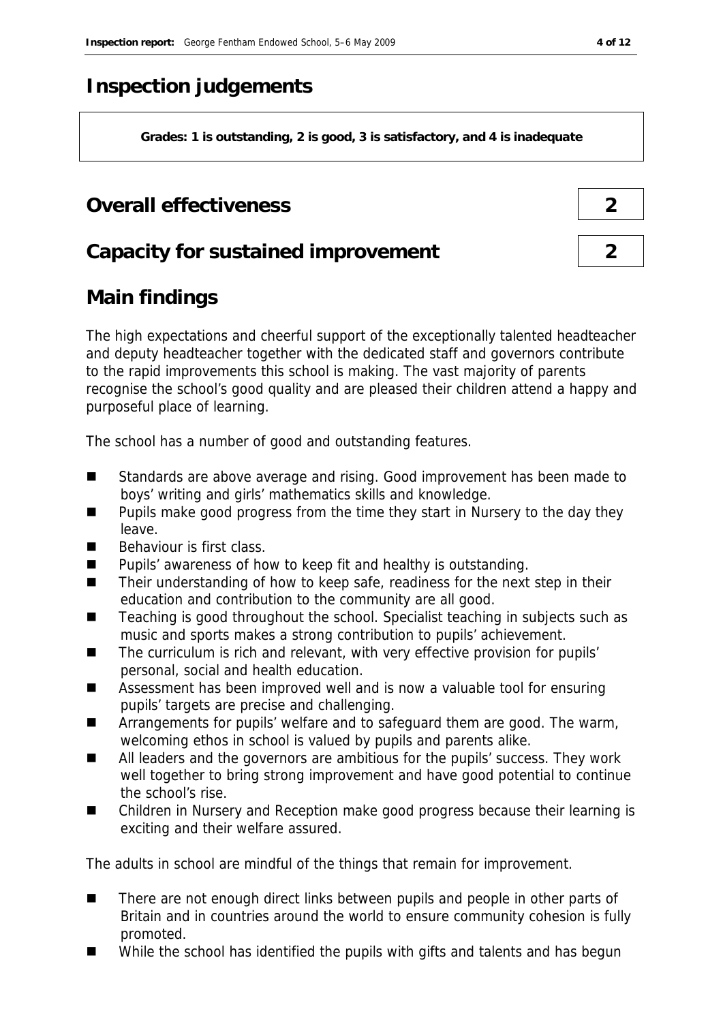### **Inspection judgements**

**Grades: 1 is outstanding, 2 is good, 3 is satisfactory, and 4 is inadequate**

### **Overall effectiveness 2**

| Capacity for sustained improvement |  |
|------------------------------------|--|
|------------------------------------|--|

# **Main findings**

The high expectations and cheerful support of the exceptionally talented headteacher and deputy headteacher together with the dedicated staff and governors contribute to the rapid improvements this school is making. The vast majority of parents recognise the school's good quality and are pleased their children attend a happy and purposeful place of learning.

The school has a number of good and outstanding features.

- Standards are above average and rising. Good improvement has been made to boys' writing and girls' mathematics skills and knowledge.
- **Pupils make good progress from the time they start in Nursery to the day they** leave.
- $\blacksquare$  Behaviour is first class.
- Pupils' awareness of how to keep fit and healthy is outstanding.
- Their understanding of how to keep safe, readiness for the next step in their education and contribution to the community are all good.
- Teaching is good throughout the school. Specialist teaching in subjects such as music and sports makes a strong contribution to pupils' achievement.
- The curriculum is rich and relevant, with very effective provision for pupils' personal, social and health education.
- Assessment has been improved well and is now a valuable tool for ensuring pupils' targets are precise and challenging.
- **EXTERGHM** Arrangements for pupils' welfare and to safeguard them are good. The warm, welcoming ethos in school is valued by pupils and parents alike.
- All leaders and the governors are ambitious for the pupils' success. They work well together to bring strong improvement and have good potential to continue the school's rise.
- Children in Nursery and Reception make good progress because their learning is exciting and their welfare assured.

The adults in school are mindful of the things that remain for improvement.

- There are not enough direct links between pupils and people in other parts of Britain and in countries around the world to ensure community cohesion is fully promoted.
- While the school has identified the pupils with gifts and talents and has begun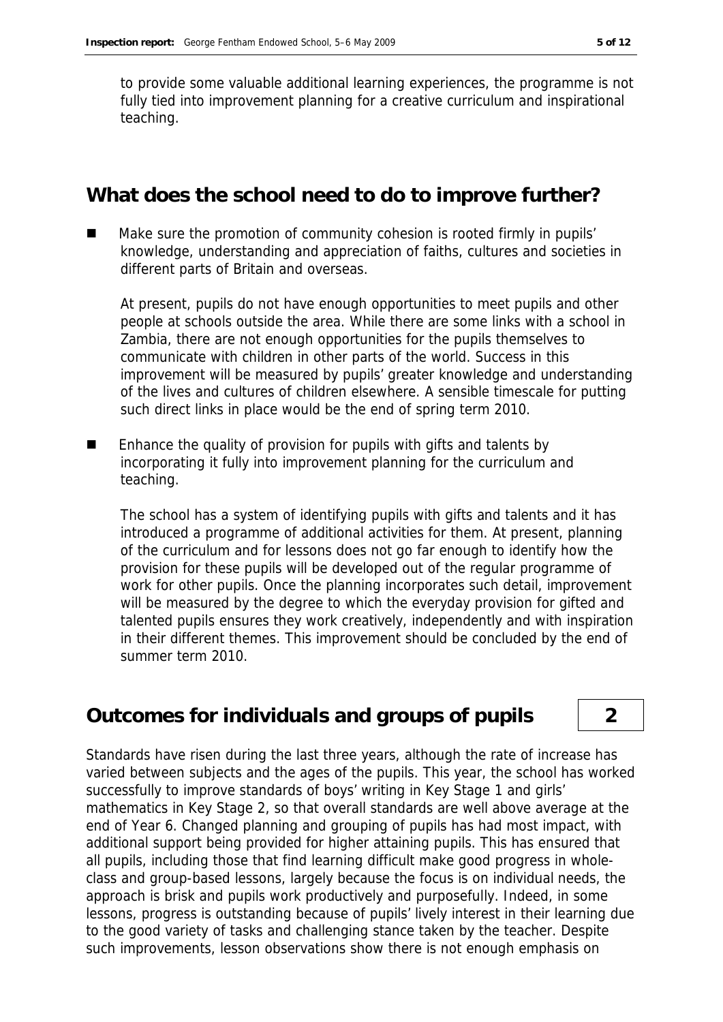to provide some valuable additional learning experiences, the programme is not fully tied into improvement planning for a creative curriculum and inspirational teaching.

#### **What does the school need to do to improve further?**

 Make sure the promotion of community cohesion is rooted firmly in pupils' knowledge, understanding and appreciation of faiths, cultures and societies in different parts of Britain and overseas.

At present, pupils do not have enough opportunities to meet pupils and other people at schools outside the area. While there are some links with a school in Zambia, there are not enough opportunities for the pupils themselves to communicate with children in other parts of the world. Success in this improvement will be measured by pupils' greater knowledge and understanding of the lives and cultures of children elsewhere. A sensible timescale for putting such direct links in place would be the end of spring term 2010.

**E** Enhance the quality of provision for pupils with gifts and talents by incorporating it fully into improvement planning for the curriculum and teaching.

The school has a system of identifying pupils with gifts and talents and it has introduced a programme of additional activities for them. At present, planning of the curriculum and for lessons does not go far enough to identify how the provision for these pupils will be developed out of the regular programme of work for other pupils. Once the planning incorporates such detail, improvement will be measured by the degree to which the everyday provision for gifted and talented pupils ensures they work creatively, independently and with inspiration in their different themes. This improvement should be concluded by the end of summer term 2010.

#### **Outcomes for individuals and groups of pupils 2**

Standards have risen during the last three years, although the rate of increase has varied between subjects and the ages of the pupils. This year, the school has worked successfully to improve standards of boys' writing in Key Stage 1 and girls' mathematics in Key Stage 2, so that overall standards are well above average at the end of Year 6. Changed planning and grouping of pupils has had most impact, with additional support being provided for higher attaining pupils. This has ensured that all pupils, including those that find learning difficult make good progress in wholeclass and group-based lessons, largely because the focus is on individual needs, the approach is brisk and pupils work productively and purposefully. Indeed, in some lessons, progress is outstanding because of pupils' lively interest in their learning due to the good variety of tasks and challenging stance taken by the teacher. Despite such improvements, lesson observations show there is not enough emphasis on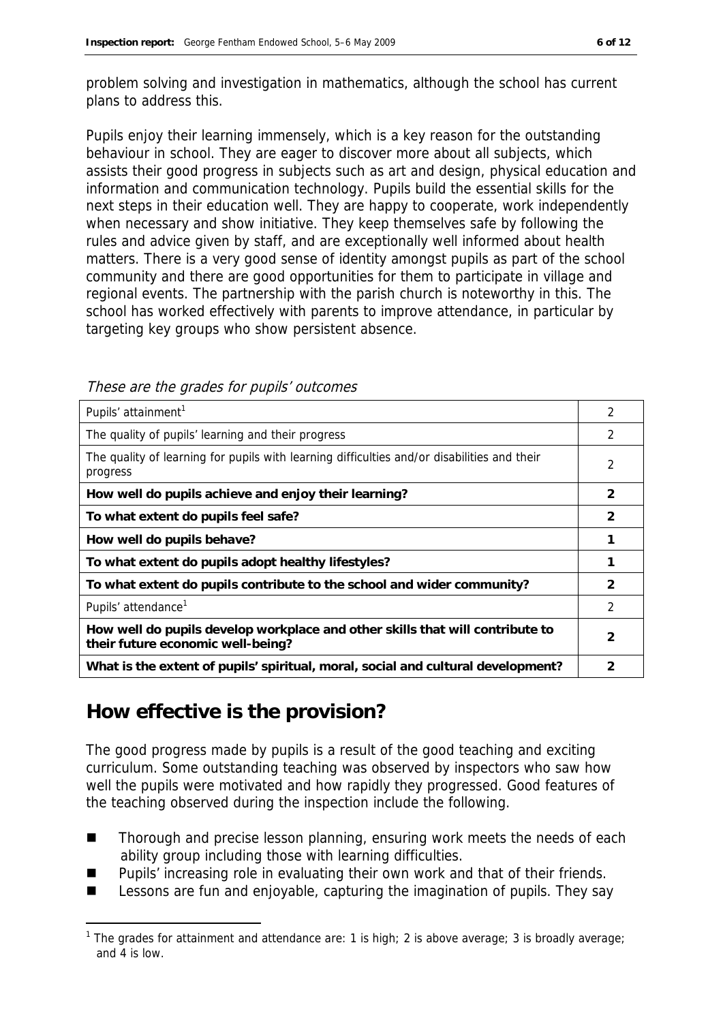problem solving and investigation in mathematics, although the school has current plans to address this.

Pupils enjoy their learning immensely, which is a key reason for the outstanding behaviour in school. They are eager to discover more about all subjects, which assists their good progress in subjects such as art and design, physical education and information and communication technology. Pupils build the essential skills for the next steps in their education well. They are happy to cooperate, work independently when necessary and show initiative. They keep themselves safe by following the rules and advice given by staff, and are exceptionally well informed about health matters. There is a very good sense of identity amongst pupils as part of the school community and there are good opportunities for them to participate in village and regional events. The partnership with the parish church is noteworthy in this. The school has worked effectively with parents to improve attendance, in particular by targeting key groups who show persistent absence.

| Pupils' attainment <sup>1</sup>                                                                                    | 2             |
|--------------------------------------------------------------------------------------------------------------------|---------------|
| The quality of pupils' learning and their progress                                                                 | 2             |
| The quality of learning for pupils with learning difficulties and/or disabilities and their<br>progress            | 2             |
| How well do pupils achieve and enjoy their learning?                                                               | 2             |
| To what extent do pupils feel safe?                                                                                | 2             |
| How well do pupils behave?                                                                                         |               |
| To what extent do pupils adopt healthy lifestyles?                                                                 |               |
| To what extent do pupils contribute to the school and wider community?                                             | $\mathcal{P}$ |
| Pupils' attendance <sup>1</sup>                                                                                    | 2             |
| How well do pupils develop workplace and other skills that will contribute to<br>their future economic well-being? | 2             |
| What is the extent of pupils' spiritual, moral, social and cultural development?                                   |               |

These are the grades for pupils' outcomes

### **How effective is the provision?**

-

The good progress made by pupils is a result of the good teaching and exciting curriculum. Some outstanding teaching was observed by inspectors who saw how well the pupils were motivated and how rapidly they progressed. Good features of the teaching observed during the inspection include the following.

- Thorough and precise lesson planning, ensuring work meets the needs of each ability group including those with learning difficulties.
- Pupils' increasing role in evaluating their own work and that of their friends.
- Lessons are fun and enjoyable, capturing the imagination of pupils. They say

<sup>&</sup>lt;sup>1</sup> The grades for attainment and attendance are: 1 is high; 2 is above average; 3 is broadly average; and 4 is low.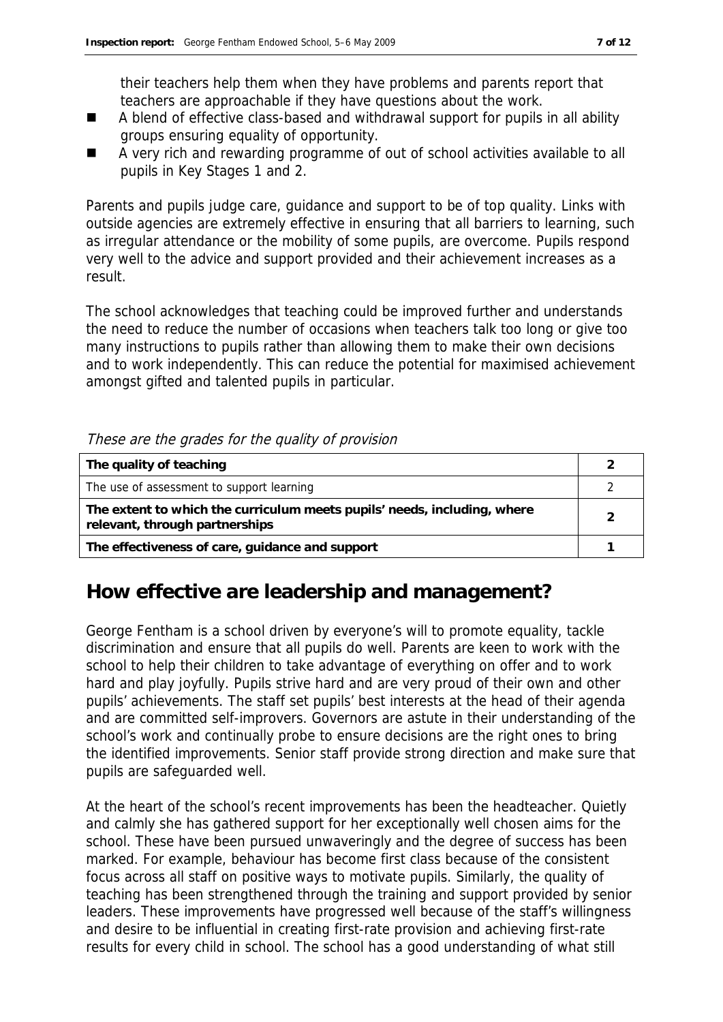their teachers help them when they have problems and parents report that teachers are approachable if they have questions about the work.

- A blend of effective class-based and withdrawal support for pupils in all ability groups ensuring equality of opportunity.
- A very rich and rewarding programme of out of school activities available to all pupils in Key Stages 1 and 2.

Parents and pupils judge care, guidance and support to be of top quality. Links with outside agencies are extremely effective in ensuring that all barriers to learning, such as irregular attendance or the mobility of some pupils, are overcome. Pupils respond very well to the advice and support provided and their achievement increases as a result.

The school acknowledges that teaching could be improved further and understands the need to reduce the number of occasions when teachers talk too long or give too many instructions to pupils rather than allowing them to make their own decisions and to work independently. This can reduce the potential for maximised achievement amongst gifted and talented pupils in particular.

#### These are the grades for the quality of provision

| The quality of teaching                                                                                    |  |
|------------------------------------------------------------------------------------------------------------|--|
| The use of assessment to support learning                                                                  |  |
| The extent to which the curriculum meets pupils' needs, including, where<br>relevant, through partnerships |  |
| The effectiveness of care, guidance and support                                                            |  |

#### **How effective are leadership and management?**

George Fentham is a school driven by everyone's will to promote equality, tackle discrimination and ensure that all pupils do well. Parents are keen to work with the school to help their children to take advantage of everything on offer and to work hard and play joyfully. Pupils strive hard and are very proud of their own and other pupils' achievements. The staff set pupils' best interests at the head of their agenda and are committed self-improvers. Governors are astute in their understanding of the school's work and continually probe to ensure decisions are the right ones to bring the identified improvements. Senior staff provide strong direction and make sure that pupils are safeguarded well.

At the heart of the school's recent improvements has been the headteacher. Quietly and calmly she has gathered support for her exceptionally well chosen aims for the school. These have been pursued unwaveringly and the degree of success has been marked. For example, behaviour has become first class because of the consistent focus across all staff on positive ways to motivate pupils. Similarly, the quality of teaching has been strengthened through the training and support provided by senior leaders. These improvements have progressed well because of the staff's willingness and desire to be influential in creating first-rate provision and achieving first-rate results for every child in school. The school has a good understanding of what still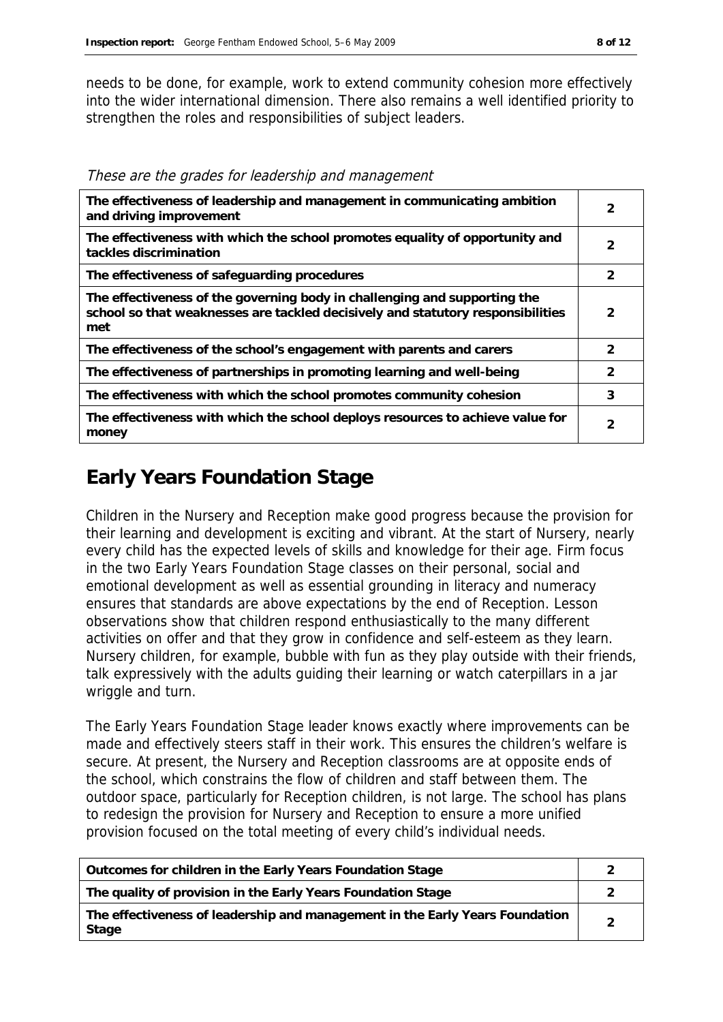needs to be done, for example, work to extend community cohesion more effectively into the wider international dimension. There also remains a well identified priority to strengthen the roles and responsibilities of subject leaders.

| The effectiveness of leadership and management in communicating ambition<br>and driving improvement                                                                 | 2             |
|---------------------------------------------------------------------------------------------------------------------------------------------------------------------|---------------|
| The effectiveness with which the school promotes equality of opportunity and<br>tackles discrimination                                                              | 2             |
| The effectiveness of safeguarding procedures                                                                                                                        | $\mathcal{P}$ |
| The effectiveness of the governing body in challenging and supporting the<br>school so that weaknesses are tackled decisively and statutory responsibilities<br>met | 2             |
| The effectiveness of the school's engagement with parents and carers                                                                                                | $\mathcal{P}$ |
| The effectiveness of partnerships in promoting learning and well-being                                                                                              | $\mathcal{P}$ |
| The effectiveness with which the school promotes community cohesion                                                                                                 | 3             |
| The effectiveness with which the school deploys resources to achieve value for<br>money                                                                             | 2             |

These are the grades for leadership and management

## **Early Years Foundation Stage**

Children in the Nursery and Reception make good progress because the provision for their learning and development is exciting and vibrant. At the start of Nursery, nearly every child has the expected levels of skills and knowledge for their age. Firm focus in the two Early Years Foundation Stage classes on their personal, social and emotional development as well as essential grounding in literacy and numeracy ensures that standards are above expectations by the end of Reception. Lesson observations show that children respond enthusiastically to the many different activities on offer and that they grow in confidence and self-esteem as they learn. Nursery children, for example, bubble with fun as they play outside with their friends, talk expressively with the adults guiding their learning or watch caterpillars in a jar wriggle and turn.

The Early Years Foundation Stage leader knows exactly where improvements can be made and effectively steers staff in their work. This ensures the children's welfare is secure. At present, the Nursery and Reception classrooms are at opposite ends of the school, which constrains the flow of children and staff between them. The outdoor space, particularly for Reception children, is not large. The school has plans to redesign the provision for Nursery and Reception to ensure a more unified provision focused on the total meeting of every child's individual needs.

| Outcomes for children in the Early Years Foundation Stage                             |  |
|---------------------------------------------------------------------------------------|--|
| The quality of provision in the Early Years Foundation Stage                          |  |
| The effectiveness of leadership and management in the Early Years Foundation<br>Stage |  |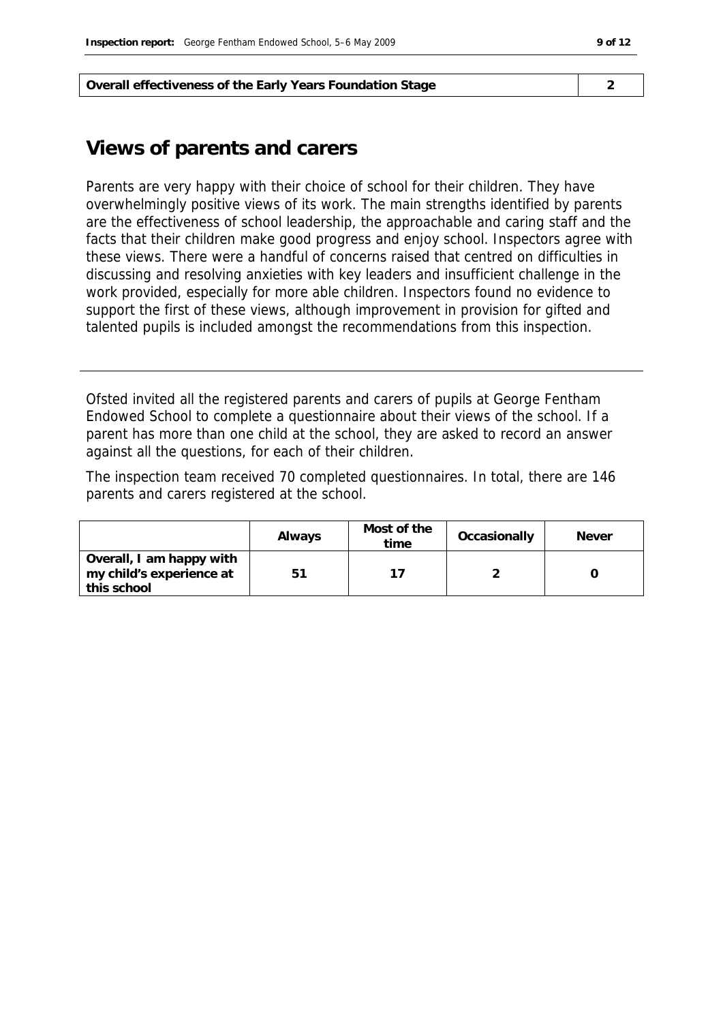**Overall effectiveness of the Early Years Foundation Stage 2**

#### **Views of parents and carers**

Parents are very happy with their choice of school for their children. They have overwhelmingly positive views of its work. The main strengths identified by parents are the effectiveness of school leadership, the approachable and caring staff and the facts that their children make good progress and enjoy school. Inspectors agree with these views. There were a handful of concerns raised that centred on difficulties in discussing and resolving anxieties with key leaders and insufficient challenge in the work provided, especially for more able children. Inspectors found no evidence to support the first of these views, although improvement in provision for gifted and talented pupils is included amongst the recommendations from this inspection.

Ofsted invited all the registered parents and carers of pupils at George Fentham Endowed School to complete a questionnaire about their views of the school. If a parent has more than one child at the school, they are asked to record an answer against all the questions, for each of their children.

The inspection team received 70 completed questionnaires. In total, there are 146 parents and carers registered at the school.

|                                                                     | Always | Most of the<br>time | Occasionally | <b>Never</b> |
|---------------------------------------------------------------------|--------|---------------------|--------------|--------------|
| Overall, I am happy with<br>my child's experience at<br>this school | 51     |                     |              |              |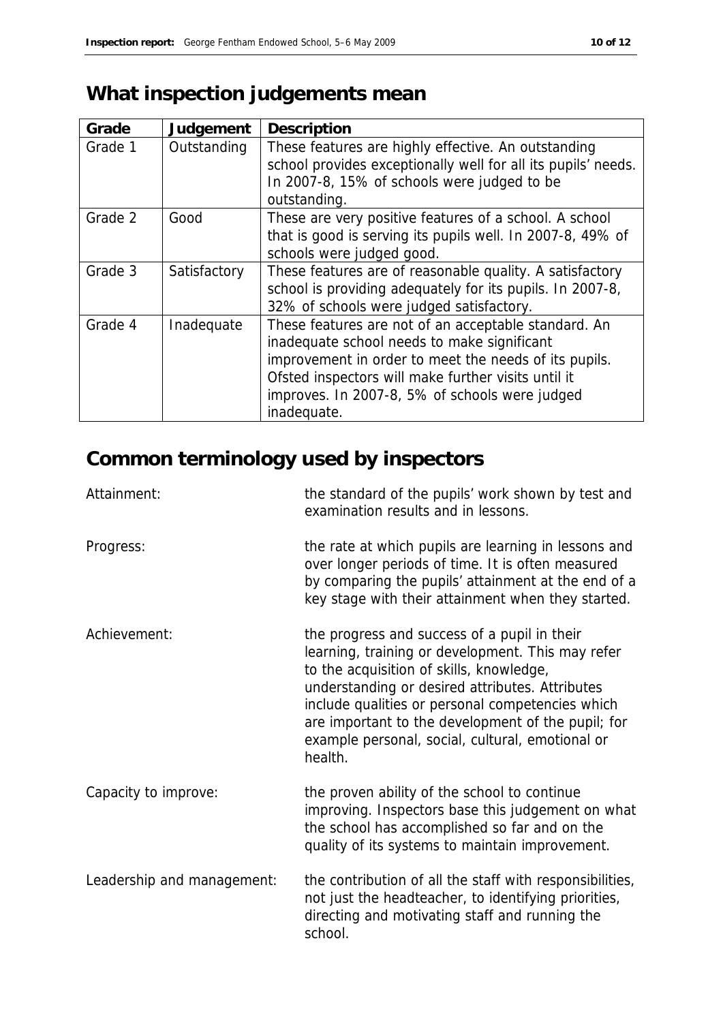# **What inspection judgements mean**

| Grade   | Judgement    | Description                                                                                                                                                                                                                                                                          |
|---------|--------------|--------------------------------------------------------------------------------------------------------------------------------------------------------------------------------------------------------------------------------------------------------------------------------------|
| Grade 1 | Outstanding  | These features are highly effective. An outstanding<br>school provides exceptionally well for all its pupils' needs.<br>In 2007-8, 15% of schools were judged to be<br>outstanding.                                                                                                  |
| Grade 2 | Good         | These are very positive features of a school. A school<br>that is good is serving its pupils well. In 2007-8, 49% of<br>schools were judged good.                                                                                                                                    |
| Grade 3 | Satisfactory | These features are of reasonable quality. A satisfactory<br>school is providing adequately for its pupils. In 2007-8,<br>32% of schools were judged satisfactory.                                                                                                                    |
| Grade 4 | Inadequate   | These features are not of an acceptable standard. An<br>inadequate school needs to make significant<br>improvement in order to meet the needs of its pupils.<br>Ofsted inspectors will make further visits until it<br>improves. In 2007-8, 5% of schools were judged<br>inadequate. |

# **Common terminology used by inspectors**

| Attainment:                | the standard of the pupils' work shown by test and<br>examination results and in lessons.                                                                                                                                                                                                                                                                                 |
|----------------------------|---------------------------------------------------------------------------------------------------------------------------------------------------------------------------------------------------------------------------------------------------------------------------------------------------------------------------------------------------------------------------|
| Progress:                  | the rate at which pupils are learning in lessons and<br>over longer periods of time. It is often measured<br>by comparing the pupils' attainment at the end of a<br>key stage with their attainment when they started.                                                                                                                                                    |
| Achievement:               | the progress and success of a pupil in their<br>learning, training or development. This may refer<br>to the acquisition of skills, knowledge,<br>understanding or desired attributes. Attributes<br>include qualities or personal competencies which<br>are important to the development of the pupil; for<br>example personal, social, cultural, emotional or<br>health. |
| Capacity to improve:       | the proven ability of the school to continue<br>improving. Inspectors base this judgement on what<br>the school has accomplished so far and on the<br>quality of its systems to maintain improvement.                                                                                                                                                                     |
| Leadership and management: | the contribution of all the staff with responsibilities,<br>not just the headteacher, to identifying priorities,<br>directing and motivating staff and running the<br>school.                                                                                                                                                                                             |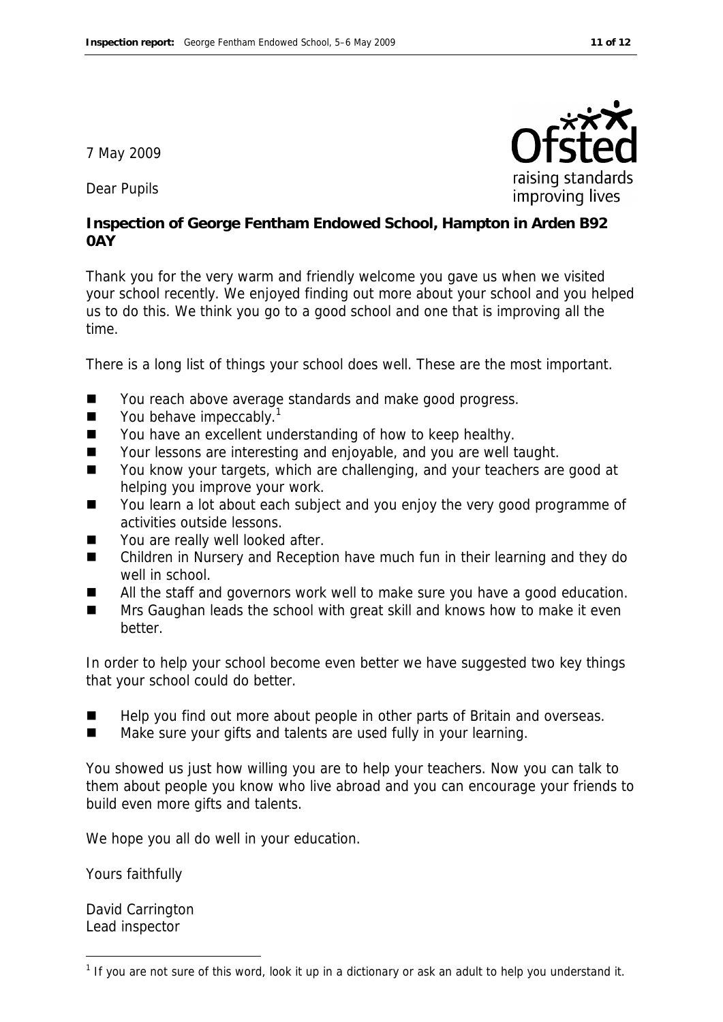7 May 2009

Dear Pupils

**Inspection of George Fentham Endowed School, Hampton in Arden B92 0AY**

Thank you for the very warm and friendly welcome you gave us when we visited your school recently. We enjoyed finding out more about your school and you helped us to do this. We think you go to a good school and one that is improving all the time.

There is a long list of things your school does well. These are the most important.

- You reach above average standards and make good progress.
- $\blacksquare$  You behave impeccably.<sup>1</sup>
- You have an excellent understanding of how to keep healthy.
- Your lessons are interesting and enjoyable, and you are well taught.
- You know your targets, which are challenging, and your teachers are good at helping you improve your work.
- You learn a lot about each subject and you enjoy the very good programme of activities outside lessons.
- You are really well looked after.
- Children in Nursery and Reception have much fun in their learning and they do well in school.
- All the staff and governors work well to make sure you have a good education.
- Mrs Gaughan leads the school with great skill and knows how to make it even better.

In order to help your school become even better we have suggested two key things that your school could do better.

- Help you find out more about people in other parts of Britain and overseas.
- Make sure your gifts and talents are used fully in your learning.

You showed us just how willing you are to help your teachers. Now you can talk to them about people you know who live abroad and you can encourage your friends to build even more gifts and talents.

We hope you all do well in your education.

Yours faithfully

David Carrington Lead inspector

-



 $1$  If you are not sure of this word, look it up in a dictionary or ask an adult to help you understand it.